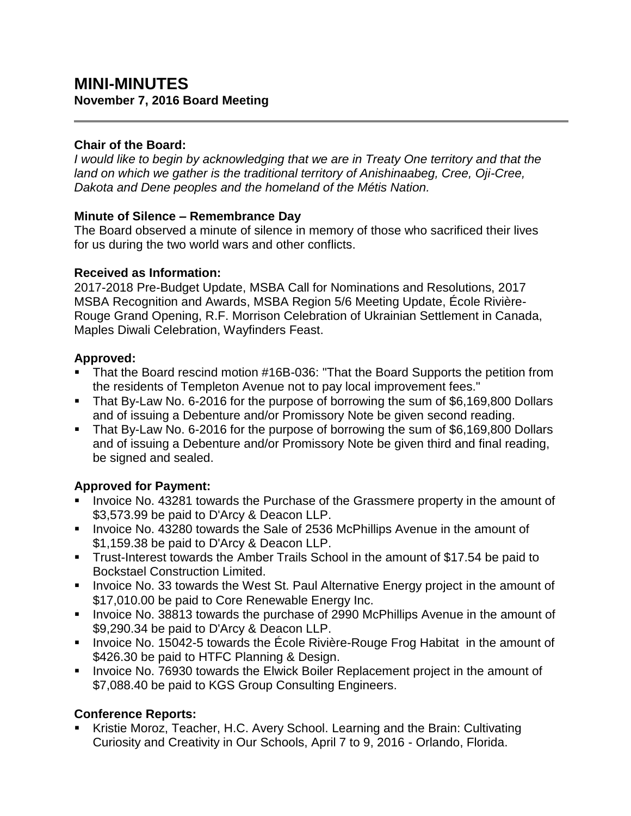# **MINI-MINUTES November 7, 2016 Board Meeting**

### **Chair of the Board:**

*I would like to begin by acknowledging that we are in Treaty One territory and that the land on which we gather is the traditional territory of Anishinaabeg, Cree, Oji-Cree, Dakota and Dene peoples and the homeland of the Métis Nation.*

#### **Minute of Silence – Remembrance Day**

The Board observed a minute of silence in memory of those who sacrificed their lives for us during the two world wars and other conflicts.

#### **Received as Information:**

2017-2018 Pre-Budget Update, MSBA Call for Nominations and Resolutions, 2017 MSBA Recognition and Awards, MSBA Region 5/6 Meeting Update, École Rivière-Rouge Grand Opening, R.F. Morrison Celebration of Ukrainian Settlement in Canada, Maples Diwali Celebration, Wayfinders Feast.

#### **Approved:**

- That the Board rescind motion #16B-036: "That the Board Supports the petition from the residents of Templeton Avenue not to pay local improvement fees."
- That By-Law No. 6-2016 for the purpose of borrowing the sum of \$6,169,800 Dollars and of issuing a Debenture and/or Promissory Note be given second reading.
- That By-Law No. 6-2016 for the purpose of borrowing the sum of \$6,169,800 Dollars and of issuing a Debenture and/or Promissory Note be given third and final reading, be signed and sealed.

# **Approved for Payment:**

- Invoice No. 43281 towards the Purchase of the Grassmere property in the amount of \$3,573.99 be paid to D'Arcy & Deacon LLP.
- **IDED 10.43280 for and State Sale of 2536 McPhillips Avenue in the amount of** \$1,159.38 be paid to D'Arcy & Deacon LLP.
- Trust-Interest towards the Amber Trails School in the amount of \$17.54 be paid to Bockstael Construction Limited.
- **Invoice No. 33 towards the West St. Paul Alternative Energy project in the amount of** \$17,010.00 be paid to Core Renewable Energy Inc.
- **Invoice No. 38813 towards the purchase of 2990 McPhillips Avenue in the amount of** \$9,290.34 be paid to D'Arcy & Deacon LLP.
- Invoice No. 15042-5 towards the École Rivière-Rouge Frog Habitat in the amount of \$426.30 be paid to HTFC Planning & Design.
- **Invoice No. 76930 towards the Elwick Boiler Replacement project in the amount of** \$7,088.40 be paid to KGS Group Consulting Engineers.

# **Conference Reports:**

 Kristie Moroz, Teacher, H.C. Avery School. Learning and the Brain: Cultivating Curiosity and Creativity in Our Schools, April 7 to 9, 2016 - Orlando, Florida.